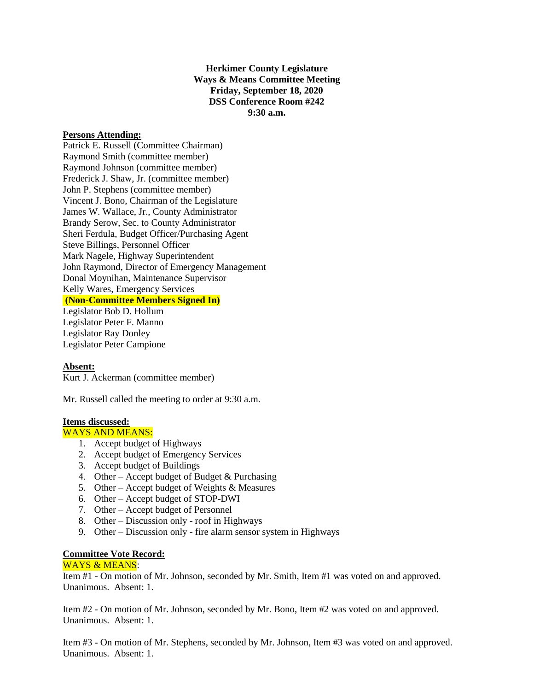**Herkimer County Legislature Ways & Means Committee Meeting Friday, September 18, 2020 DSS Conference Room #242 9:30 a.m.**

## **Persons Attending:**

Patrick E. Russell (Committee Chairman) Raymond Smith (committee member) Raymond Johnson (committee member) Frederick J. Shaw, Jr. (committee member) John P. Stephens (committee member) Vincent J. Bono, Chairman of the Legislature James W. Wallace, Jr., County Administrator Brandy Serow, Sec. to County Administrator Sheri Ferdula, Budget Officer/Purchasing Agent Steve Billings, Personnel Officer Mark Nagele, Highway Superintendent John Raymond, Director of Emergency Management Donal Moynihan, Maintenance Supervisor Kelly Wares, Emergency Services **(Non-Committee Members Signed In)** Legislator Bob D. Hollum Legislator Peter F. Manno Legislator Ray Donley Legislator Peter Campione

## **Absent:**

Kurt J. Ackerman (committee member)

Mr. Russell called the meeting to order at 9:30 a.m.

# **Items discussed:**

WAYS AND MEANS:

- 1. Accept budget of Highways
- 2. Accept budget of Emergency Services
- 3. Accept budget of Buildings
- 4. Other Accept budget of Budget & Purchasing
- 5. Other Accept budget of Weights & Measures
- 6. Other Accept budget of STOP-DWI
- 7. Other Accept budget of Personnel
- 8. Other Discussion only roof in Highways
- 9. Other Discussion only fire alarm sensor system in Highways

## **Committee Vote Record:**

#### WAYS & MEANS:

Item #1 - On motion of Mr. Johnson, seconded by Mr. Smith, Item #1 was voted on and approved. Unanimous. Absent: 1.

Item #2 - On motion of Mr. Johnson, seconded by Mr. Bono, Item #2 was voted on and approved. Unanimous. Absent: 1.

Item #3 - On motion of Mr. Stephens, seconded by Mr. Johnson, Item #3 was voted on and approved. Unanimous. Absent: 1.